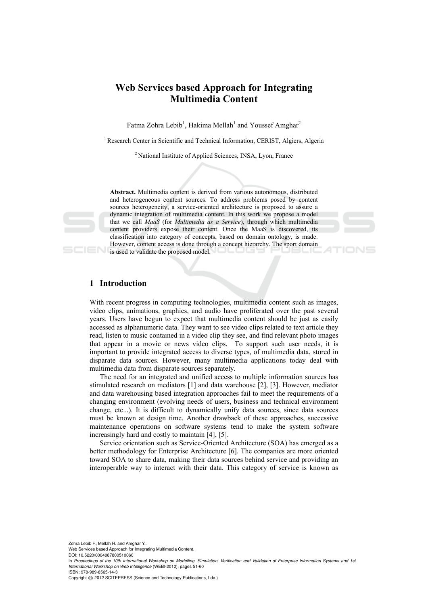# **Web Services based Approach for Integrating Multimedia Content**

Fatma Zohra Lebib<sup>1</sup>, Hakima Mellah<sup>1</sup> and Youssef Amghar<sup>2</sup>

<sup>1</sup> Research Center in Scientific and Technical Information, CERIST, Algiers, Algeria

2 National Institute of Applied Sciences, INSA, Lyon, France

**Abstract.** Multimedia content is derived from various autonomous, distributed and heterogeneous content sources. To address problems posed by content sources heterogeneity, a service-oriented architecture is proposed to assure a dynamic integration of multimedia content. In this work we propose a model that we call *MaaS* (for *Multimedia as a Service*), through which multimedia content providers expose their content. Once the MaaS is discovered, its classification into category of concepts, based on domain ontology, is made. However, content access is done through a concept hierarchy. The sport domain **is used to validate the proposed model.** 

## **1 Introduction**

With recent progress in computing technologies, multimedia content such as images, video clips, animations, graphics, and audio have proliferated over the past several years. Users have begun to expect that multimedia content should be just as easily accessed as alphanumeric data. They want to see video clips related to text article they read, listen to music contained in a video clip they see, and find relevant photo images that appear in a movie or news video clips. To support such user needs, it is important to provide integrated access to diverse types, of multimedia data, stored in disparate data sources. However, many multimedia applications today deal with multimedia data from disparate sources separately.

The need for an integrated and unified access to multiple information sources has stimulated research on mediators [1] and data warehouse [2], [3]. However, mediator and data warehousing based integration approaches fail to meet the requirements of a changing environment (evolving needs of users, business and technical environment change, etc...). It is difficult to dynamically unify data sources, since data sources must be known at design time. Another drawback of these approaches, successive maintenance operations on software systems tend to make the system software increasingly hard and costly to maintain [4], [5].

Service orientation such as Service-Oriented Architecture (SOA) has emerged as a better methodology for Enterprise Architecture [6]. The companies are more oriented toward SOA to share data, making their data sources behind service and providing an interoperable way to interact with their data. This category of service is known as

Zohra Lebib F., Mellah H. and Amghar Y..

Web Services based Approach for Integrating Multimedia Content. DOI: 10.5220/0004087800510060

ISBN: 978-989-8565-14-3

Copyright © 2012 SCITEPRESS (Science and Technology Publications, Lda.)



In *Proceedings of the 10th International Workshop on Modelling, Simulation, Verification and Validation of Enterprise Information Systems and 1st International Workshop on Web Intelligence* (WEBI-2012), pages 51-60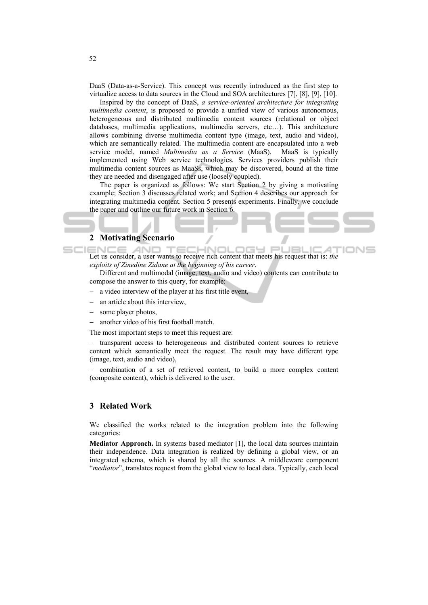DaaS (Data-as-a-Service). This concept was recently introduced as the first step to virtualize access to data sources in the Cloud and SOA architectures [7], [8], [9], [10].

Inspired by the concept of DaaS, *a service-oriented architecture for integrating multimedia content*, is proposed to provide a unified view of various autonomous, heterogeneous and distributed multimedia content sources (relational or object databases, multimedia applications, multimedia servers, etc…). This architecture allows combining diverse multimedia content type (image, text, audio and video), which are semantically related. The multimedia content are encapsulated into a web service model, named *Multimedia as a Service* (MaaS). MaaS is typically implemented using Web service technologies. Services providers publish their multimedia content sources as MaaSs, which may be discovered, bound at the time they are needed and disengaged after use (loosely coupled).

The paper is organized as follows: We start Section 2 by giving a motivating example; Section 3 discusses related work; and Section 4 describes our approach for integrating multimedia content. Section 5 presents experiments. Finally, we conclude the paper and outline our future work in Section 6.

### **2 Motivating Scenario**

**ECHNOLOGY PI** Let us consider, a user wants to receive rich content that meets his request that is: *the*  AND JEL и *exploits of Zinedine Zidane at the beginning of his career*.

Different and multimodal (image, text, audio and video) contents can contribute to compose the answer to this query, for example:

- − a video interview of the player at his first title event,
- − an article about this interview,
- some player photos,
- another video of his first football match.

The most important steps to meet this request are:

− transparent access to heterogeneous and distributed content sources to retrieve content which semantically meet the request. The result may have different type (image, text, audio and video),

− combination of a set of retrieved content, to build a more complex content (composite content), which is delivered to the user.

## **3 Related Work**

We classified the works related to the integration problem into the following categories:

**Mediator Approach.** In systems based mediator [1], the local data sources maintain their independence. Data integration is realized by defining a global view, or an integrated schema, which is shared by all the sources. A middleware component "*mediator*", translates request from the global view to local data. Typically, each local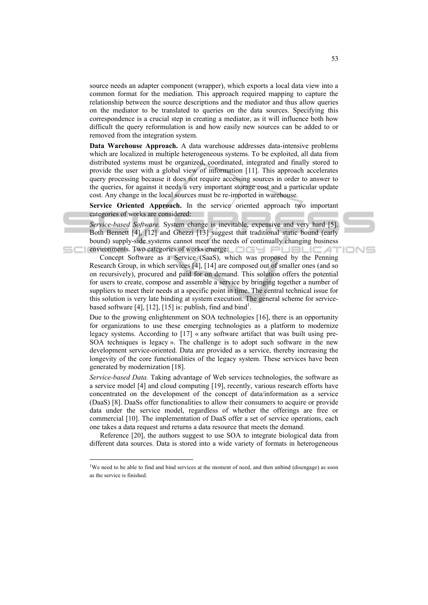source needs an adapter component (wrapper), which exports a local data view into a common format for the mediation. This approach required mapping to capture the relationship between the source descriptions and the mediator and thus allow queries on the mediator to be translated to queries on the data sources. Specifying this correspondence is a crucial step in creating a mediator, as it will influence both how difficult the query reformulation is and how easily new sources can be added to or removed from the integration system.

**Data Warehouse Approach.** A data warehouse addresses data-intensive problems which are localized in multiple heterogeneous systems. To be exploited, all data from distributed systems must be organized, coordinated, integrated and finally stored to provide the user with a global view of information [11]. This approach accelerates query processing because it does not require accessing sources in order to answer to the queries, for against it needs a very important storage cost and a particular update cost. Any change in the local sources must be re-imported in warehouse.

**Service Oriented Approach.** In the service oriented approach two important categories of works are considered:

*Service-based Software.* System change is inevitable, expensive and very hard [5]. Both Bennett [4], [12] and Ghezzi [13] suggest that traditional static bound (early bound) supply-side systems cannot meet the needs of continually changing business environments. Two categories of works emerge:

Concept Software as a Service (SaaS), which was proposed by the Penning Research Group, in which services [4], [14] are composed out of smaller ones (and so on recursively), procured and paid for on demand. This solution offers the potential for users to create, compose and assemble a service by bringing together a number of suppliers to meet their needs at a specific point in time. The central technical issue for this solution is very late binding at system execution. The general scheme for servicebased software [4], [12], [15] is: publish, find and bind<sup>1</sup>.

Due to the growing enlightenment on SOA technologies [16], there is an opportunity for organizations to use these emerging technologies as a platform to modernize legacy systems. According to [17] « any software artifact that was built using pre-SOA techniques is legacy ». The challenge is to adopt such software in the new development service-oriented. Data are provided as a service, thereby increasing the longevity of the core functionalities of the legacy system. These services have been generated by modernization [18].

*Service-based Data.* Taking advantage of Web services technologies, the software as a service model [4] and cloud computing [19], recently, various research efforts have concentrated on the development of the concept of data/information as a service (DaaS) [8]. DaaSs offer functionalities to allow their consumers to acquire or provide data under the service model, regardless of whether the offerings are free or commercial [10]. The implementation of DaaS offer a set of service operations, each one takes a data request and returns a data resource that meets the demand.

Reference [20], the authors suggest to use SOA to integrate biological data from different data sources. Data is stored into a wide variety of formats in heterogeneous

 $\overline{a}$ 

IONE

<sup>&</sup>lt;sup>1</sup>We need to be able to find and bind services at the moment of need, and then unbind (disengage) as soon as the service is finished.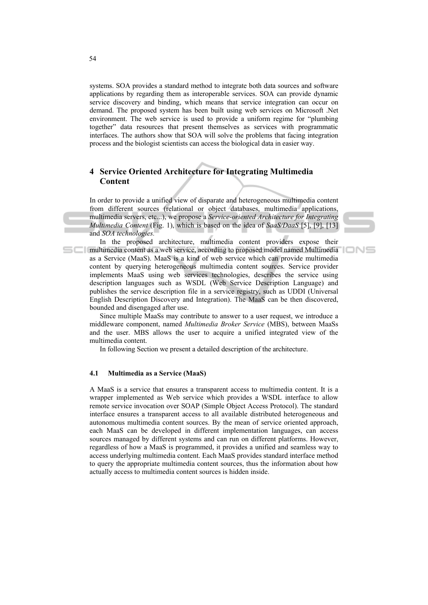systems. SOA provides a standard method to integrate both data sources and software applications by regarding them as interoperable services. SOA can provide dynamic service discovery and binding, which means that service integration can occur on demand. The proposed system has been built using web services on Microsoft .Net environment. The web service is used to provide a uniform regime for "plumbing together" data resources that present themselves as services with programmatic interfaces. The authors show that SOA will solve the problems that facing integration process and the biologist scientists can access the biological data in easier way.

## **4 Service Oriented Architecture for Integrating Multimedia Content**

In order to provide a unified view of disparate and heterogeneous multimedia content from different sources (relational or object databases, multimedia applications, multimedia servers, etc...), we propose a *Service-oriented Architecture for Integrating Multimedia Content* (Fig. 1), which is based on the idea of *SaaS/DaaS* [5], [9], [13] and *SOA technologies.* 

In the proposed architecture, multimedia content providers expose their multimedia content as a web service, according to proposed model named Multimedia as a Service (MaaS). MaaS is a kind of web service which can provide multimedia content by querying heterogeneous multimedia content sources. Service provider implements MaaS using web services technologies, describes the service using description languages such as WSDL (Web Service Description Language) and publishes the service description file in a service registry, such as UDDI (Universal English Description Discovery and Integration). The MaaS can be then discovered, bounded and disengaged after use.

Since multiple MaaSs may contribute to answer to a user request, we introduce a middleware component, named *Multimedia Broker Service* (MBS), between MaaSs and the user. MBS allows the user to acquire a unified integrated view of the multimedia content.

In following Section we present a detailed description of the architecture.

## **4.1 Multimedia as a Service (MaaS)**

A MaaS is a service that ensures a transparent access to multimedia content. It is a wrapper implemented as Web service which provides a WSDL interface to allow remote service invocation over SOAP (Simple Object Access Protocol). The standard interface ensures a transparent access to all available distributed heterogeneous and autonomous multimedia content sources. By the mean of service oriented approach, each MaaS can be developed in different implementation languages, can access sources managed by different systems and can run on different platforms. However, regardless of how a MaaS is programmed, it provides a unified and seamless way to access underlying multimedia content. Each MaaS provides standard interface method to query the appropriate multimedia content sources, thus the information about how actually access to multimedia content sources is hidden inside.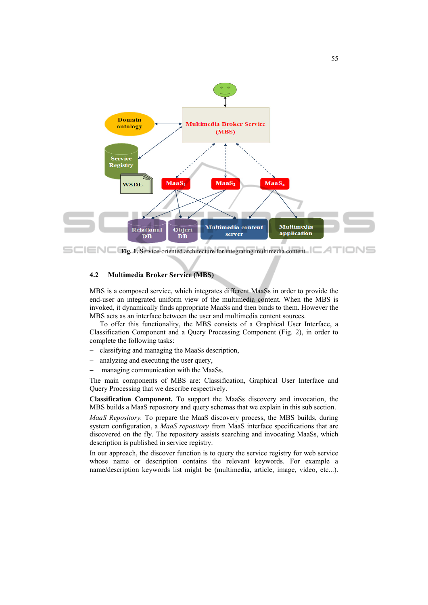

**Fig. 1. Service-oriented architecture for integrating multimedia content. FILINE** 

#### **4.2 Multimedia Broker Service (MBS)**

MBS is a composed service, which integrates different MaaSs in order to provide the end-user an integrated uniform view of the multimedia content. When the MBS is invoked, it dynamically finds appropriate MaaSs and then binds to them. However the MBS acts as an interface between the user and multimedia content sources.

To offer this functionality, the MBS consists of a Graphical User Interface, a Classification Component and a Query Processing Component (Fig. 2), in order to complete the following tasks:

- − classifying and managing the MaaSs description,
- − analyzing and executing the user query,
- managing communication with the MaaSs.

The main components of MBS are: Classification, Graphical User Interface and Query Processing that we describe respectively.

**Classification Component.** To support the MaaSs discovery and invocation, the MBS builds a MaaS repository and query schemas that we explain in this sub section.

*MaaS Repository.* To prepare the MaaS discovery process, the MBS builds, during system configuration, a *MaaS repository* from MaaS interface specifications that are discovered on the fly. The repository assists searching and invocating MaaSs, which description is published in service registry.

In our approach, the discover function is to query the service registry for web service whose name or description contains the relevant keywords. For example a name/description keywords list might be (multimedia, article, image, video, etc...).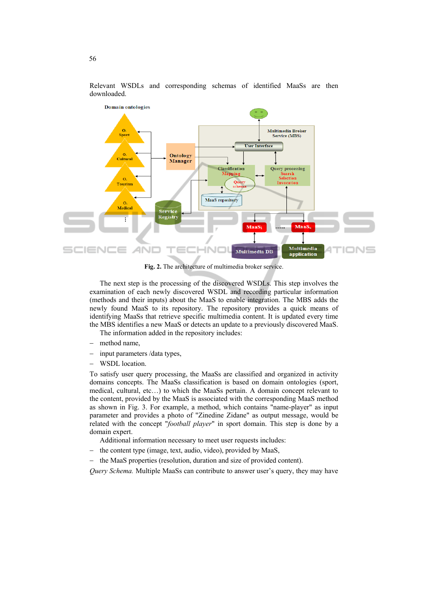

Relevant WSDLs and corresponding schemas of identified MaaSs are then downloaded.

**Fig. 2.** The architecture of multimedia broker service.

The next step is the processing of the discovered WSDLs. This step involves the examination of each newly discovered WSDL and recording particular information (methods and their inputs) about the MaaS to enable integration. The MBS adds the newly found MaaS to its repository. The repository provides a quick means of identifying MaaSs that retrieve specific multimedia content. It is updated every time the MBS identifies a new MaaS or detects an update to a previously discovered MaaS.

The information added in the repository includes:

- − method name,
- − input parameters /data types,
- WSDL location.

To satisfy user query processing, the MaaSs are classified and organized in activity domains concepts. The MaaSs classification is based on domain ontologies (sport, medical, cultural, etc…) to which the MaaSs pertain. A domain concept relevant to the content, provided by the MaaS is associated with the corresponding MaaS method as shown in Fig. 3. For example, a method, which contains "name-player" as input parameter and provides a photo of "Zinedine Zidane" as output message, would be related with the concept "*football player*" in sport domain. This step is done by a domain expert.

Additional information necessary to meet user requests includes:

- the content type (image, text, audio, video), provided by MaaS,
- the MaaS properties (resolution, duration and size of provided content).

*Query Schema.* Multiple MaaSs can contribute to answer user's query, they may have

56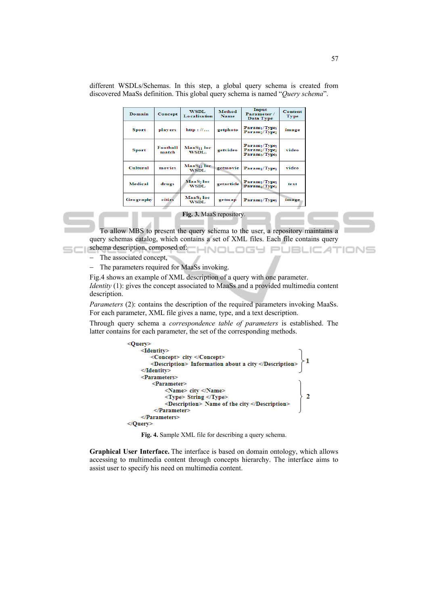| Domain       | Concept           | <b>WSDL</b><br>Localisation           | Method<br>Name | Input<br>Parameter /<br>Data Type                                                                                       | <b>Content</b><br>Type |
|--------------|-------------------|---------------------------------------|----------------|-------------------------------------------------------------------------------------------------------------------------|------------------------|
| <b>Sport</b> | players           | http://                               | getphoto       | Param <sub>1</sub> /Type <sub>1</sub><br>Param <sub>2</sub> /Type <sub>2</sub>                                          | image                  |
| <b>Sport</b> | Football<br>match | MaaS <sub>11</sub> loc<br>WSDL.       | getvideo       | Param <sub>1</sub> /Type <sub>1</sub><br>Param <sub>2</sub> /Type <sub>2</sub><br>Param <sub>3</sub> /Type <sub>3</sub> | video                  |
| Cultural     | movies            | MaaS <sub>13</sub> loc<br><b>WSDL</b> | getmovie       | Param <sub>1</sub> /Type <sub>1</sub>                                                                                   | video                  |
| Medical      | drugs             | MaaS2 loc<br>WSDL                     | getarticle     | Param <sub>1</sub> /Type <sub>1</sub><br>Param <sub>2</sub> /Type <sub>2</sub>                                          | text                   |
| Geography    | cities            | MaaS4 loc<br>WSDL                     | getmap         | Param <sub>1</sub> /Type <sub>1</sub>                                                                                   | image                  |

different WSDLs/Schemas. In this step, a global query schema is created from discovered MaaSs definition. This global query schema is named "*Query schema*".

#### **Fig. 3.** MaaS repository.

To allow MBS to present the query schema to the user, a repository maintains a query schemas catalog, which contains a set of XML files. Each file contains query schema description, composed of: **CHNOLOGY PUBLICATIONS** 

- The associated concept,
- − The parameters required for MaaSs invoking.

Fig.4 shows an example of XML description of a query with one parameter. *Identity* (1): gives the concept associated to MaaSs and a provided multimedia content description.

*Parameters* (2): contains the description of the required parameters invoking MaaSs. For each parameter, XML file gives a name, type, and a text description.

Through query schema a *correspondence table of parameters* is established. The latter contains for each parameter, the set of the corresponding methods.



**Fig. 4.** Sample XML file for describing a query schema.

**Graphical User Interface.** The interface is based on domain ontology, which allows accessing to multimedia content through concepts hierarchy. The interface aims to assist user to specify his need on multimedia content.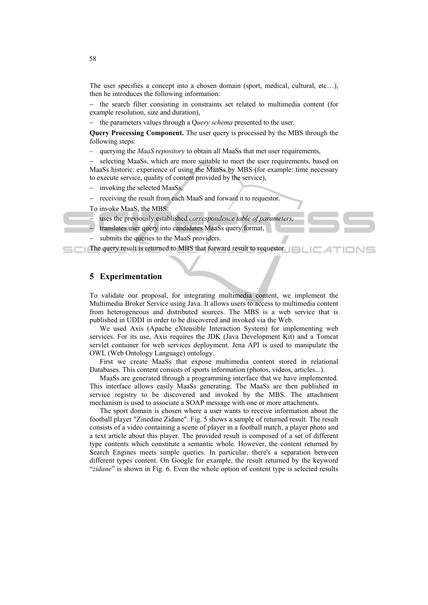The user specifies a concept into a chosen domain (sport, medical, cultural, etc…), then he introduces the following information:

− the search filter consisting in constraints set related to multimedia content (for example resolution, size and duration),

− the parameters values through a Q*uery schema* presented to the user.

**Query Processing Component.** The user query is processed by the MBS through the following steps:

querying the *MaaS repository* to obtain all MaaSs that met user requirements,

selecting MaaSs, which are more suitable to meet the user requirements, based on MaaSs historic: experience of using the MaaSs by MBS (for example: time necessary to execute service, quality of content provided by the service),

invoking the selected MaaSs.

receiving the result from each MaaS and forward it to requestor.

To invoke MaaS, the MBS:

uses the previously established *correspondence table of parameters* 

- translates user query into candidates MaaSs query format,
- submits the queries to the MaaS providers.

The query result is returned to MBS that forward result to requestor.

## **5 Experimentation**

To validate our proposal, for integrating multimedia content, we implement the Multimedia Broker Service using Java. It allows users to access to multimedia content from heterogeneous and distributed sources. The MBS is a web service that is published in UDDI in order to be discovered and invoked via the Web.

We used Axis (Apache eXtensible Interaction System) for implementing web services. For its use, Axis requires the JDK (Java Development Kit) and a Tomcat servlet container for web services deployment. Jena API is used to manipulate the OWL (Web Ontology Language) ontology.

First we create MaaSs that expose multimedia content stored in relational Databases. This content consists of sports information (photos, videos, articles...).

MaaSs are generated through a programming interface that we have implemented. This interface allows easily MaaSs generating. The MaaSs are then published in service registry to be discovered and invoked by the MBS. The attachment mechanism is used to associate a SOAP message with one or more attachments.

The sport domain is chosen where a user wants to receive information about the football player "Zinedine Zidane". Fig. 5 shows a sample of returned result. The result consists of a video containing a scene of player in a football match, a player photo and a text article about this player. The provided result is composed of a set of different type contents which constitute a semantic whole. However, the content returned by Search Engines meets simple queries. In particular, there's a separation between different types content. On Google for example, the result returned by the keyword "*zidane*" is shown in Fig. 6. Even the whole option of content type is selected results

58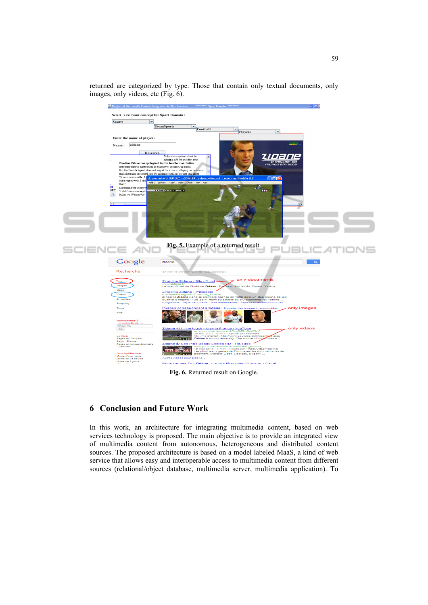

returned are categorized by type. Those that contain only textual documents, only images, only videos, etc (Fig. 6).

**Fig. 6.** Returned result on Google.

## **6 Conclusion and Future Work**

In this work, an architecture for integrating multimedia content, based on web services technology is proposed. The main objective is to provide an integrated view of multimedia content from autonomous, heterogeneous and distributed content sources. The proposed architecture is based on a model labeled MaaS, a kind of web service that allows easy and interoperable access to multimedia content from different sources (relational/object database, multimedia server, multimedia application). To